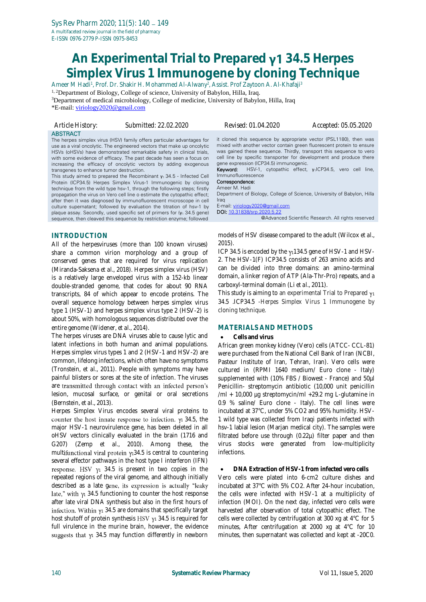# **An Experimental Trial to Prepared 34.5 Herpes Simplex Virus 1 Immunogene by cloning Technique**

Ameer M Hadi<sup>1</sup>, Prof. Dr. Shakir H. Mohammed Al-Alwany<sup>2</sup>, Assist. Prof Zaytoon A. Al-Khafaji<sup>3</sup>

<sup>1, 2</sup>Department of Biology, College of science, University of Babylon, Hilla, Iraq.

<sup>3</sup>Department of medical microbiology, College of medicine, University of Babylon, Hilla, Iraq

\*E-mail[: viriology2020@gmail.com](mailto:viriology2020@gmail.com)

| Article History:                                                                                                                                                     | Submitted: 22.02.2020 | <i>Revised: 01.04.2020</i>                                                                                                                                                                                      | Accepted: 05.05.2020 |
|----------------------------------------------------------------------------------------------------------------------------------------------------------------------|-----------------------|-----------------------------------------------------------------------------------------------------------------------------------------------------------------------------------------------------------------|----------------------|
| <b>ABSTRACT</b><br>The herpes simplex virus (HSV) family offers particular advantages for<br>use as a viral oncolytic. The engineered vectors that make up oncolytic |                       | it cloned this sequence by appropriate vector (PSL1180), then was<br>mixed with another vector contain green fluorescent protein to ensure<br>use goined these sequence Thirdly trepenent this esquence to yers |                      |

HSVs (oHSVs) have demonstrated remarkable safety in clinical trials, with some evidence of efficacy. The past decade has seen a focus on increasing the efficacy of oncolytic vectors by adding exogenous transgenes to enhance tumor destruction.

This study aimed to prepared the Recombinant  $y_1$  34.5 - Infected Cell Protein (ICP34.5) Herpes Simplex Virus-1 Immunogenic by cloning technique from the wild type hsv-1, through the following steps; firstly propagation the virus on Vero cell line o estimate the cytopathic effect; after then it was diagnosed by immunofluorescent microscope in cell culture supernatant; followed by evaluation the titration of hsv-1 by plaque assay. Secondly, used specific set of primers for  $(y_1 34.5$  gene) sequence, then cleaved this sequence by restriction enzyme; followed

# **INTRODUCTION**

All of the herpesviruses (more than 100 known viruses) share a common virion morphology and a group of conserved genes that are required for virus replication (Miranda-Saksena *et al*., 2018). Herpes simplex virus (HSV) is a relatively large enveloped virus with a 152-kb linear double-stranded genome, that codes for about 90 RNA transcripts, 84 of which appear to encode proteins. The overall sequence homology between herpes simplex virus type 1 (HSV-1) and herpes simplex virus type 2 (HSV-2) is about 50%, with homologous sequences distributed over the entire genome (Widener, *et al*., 2014).

The herpes viruses are DNA viruses able to cause lytic and latent infections in both human and animal populations. Herpes simplex virus types 1 and 2 (HSV-1 and HSV-2) are common, lifelong infections, which often have no symptoms (Tronstein, *et al*., 2011). People with symptoms may have painful blisters or sores at the site of infection. The viruses are transmitted through contact with an infected person's lesion, mucosal surface, or genital or oral secretions (Bernstein, *et al*., 2013).

Herpes Simplex Virus encodes several viral proteins to counter the host innate response to infection.  $\gamma_1$  34.5, the major HSV-1 neurovirulence gene, has been deleted in all oHSV vectors clinically evaluated in the brain (1716 and G207) (Zemp *et al*., 2010). Among these, the multifunctional viral protein  $y_1$ 34.5 is central to countering several effector pathways in the host type I interferon (IFN) response. HSV  $y_1$  34.5 is present in two copies in the repeated regions of the viral genome, and although initially described as a late gene, its expression is actually "leaky late," with  $y_1$  34.5 functioning to counter the host response after late viral DNA synthesis but also in the first hours of infection. Within  $y_1$  34.5 are domains that specifically target host shutoff of protein synthesis HSV  $\gamma_1$  34.5 is required for full virulence in the murine brain, however, the evidence suggests that  $y_1$  34.5 may function differently in newborn

gained these sequence. Thirdly, transport this sequen cell line by specific transporter for development and produce there gene expression (ICP34.5) immunogenic.

Keyword: HSV-1, cytopathic effect, γ1ICP34.5, vero cell line, Immunofluorescence

#### Correspondence: Ameer M. Hadi

Department of Biology, College of Science, University of Babylon, Hilla Iraq

E-mail: [viriology2020@gmail.com](mailto:viriology2020@gmail.com)

DOI: [10.31838/srp.2020.5.22](http://dx.doi.org/10.5530/srp.2019.2.04)

@Advanced Scientific Research. All rights reserved

models of HSV disease compared to the adult (Wilcox *et al*., 2015).

ICP 34.5 is encoded by the  $\gamma$ 134.5 gene of HSV-1 and HSV-2. The HSV-1(F) ICP34.5 consists of 263 amino acids and can be divided into three domains: an amino-terminal domain, a linker region of ATP (Ala-Thr-Pro) repeats, and a carboxyl-terminal domain (Li *et al*., 2011).

This study is aiming to an experimental Trial to Prepared  $y_1$ 34.5 .ICP34.5 *-Herpes Simplex Virus* 1 Immunogene by cloning technique.

### **MATERIALS AND METHODS**

#### **Cells and virus**

African green monkey kidney (Vero) cells (ATCC- CCL-81) were purchased from the National Cell Bank of Iran (NCBI, Pasteur Institute of Iran, Tehran, Iran). Vero cells were cultured in (RPMI 1640 medium/ Euro clone - Italy) supplemented with (10% FBS / Biowest - France) and 50µl Penicillin- streptomycin antibiotic (10,000 unit penicillin /ml + 10,000 µg streptomycin/ml +29.2 mg L-glutamine in 0.9 % saline/ Euro clone - Italy). The cell lines were incubated at 37°C, under 5% CO2 and 95% humidity. HSV-1 wild type was collected from Iraqi patients infected with hsv-1 labial lesion (Marjan medical city). The samples were filtrated before use through (0.22µ) filter paper and then virus stocks were generated from low-multiplicity infections.

 **DNA Extraction of HSV-1 from infected vero cells** Vero cells were plated into 6-cm2 culture dishes and incubated at 37°C with 5% CO2. After 24-hour incubation, the cells were infected with HSV-1 at a multiplicity of infection (MOI). On the next day, infected vero cells were harvested after observation of total cytopathic effect. The cells were collected by centrifugation at 300 xg at 4°C for 5 minutes, After centrifugation at 2000 xg at 4°C for 10 minutes, then supernatant was collected and kept at -20C0.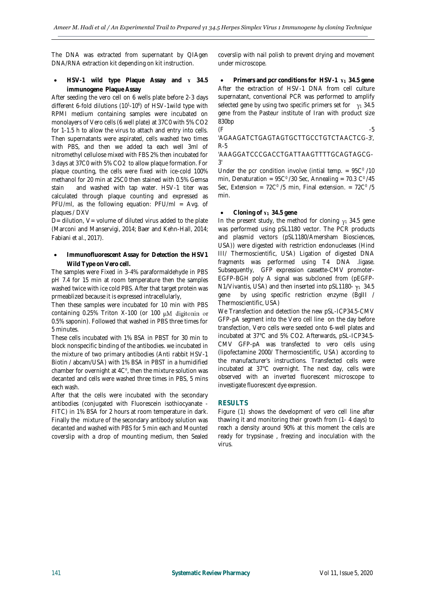The DNA was extracted from supernatant by QIAgen DNA/RNA extraction kit depending on kit instruction.

 **HSV-1 wild type Plaque Assay and ɤ 34.5 immunogene Plaque Assay**

After seeding the vero cell on 6 wells plate before 2-3 days different 6-fold dilutions (10<sup>1</sup> -10<sup>6</sup> ) of HSV-1wild type with RPMI medium containing samples were incubated on monolayers of Vero cells (6 well plate) at 37C0 with 5% CO2 for 1-1.5 h to allow the virus to attach and entry into cells. Then supernatants were aspirated, cells washed two times with PBS, and then we added ta each well 3ml of nitromethyl cellulose mixed with FBS 2% then incubated for 3 days at 37C0 with 5% CO2 to allow plaque formation. For plaque counting, the cells were fixed with ice-cold 100% methanol for 20 min at 25C0 then stained with 0.5% Gemsa stain and washed with tap water. HSV-1 titer was calculated through plaque counting and expressed as PFU/ml, as the following equation: PFU/ml = Avg. of plaques / DXV

 $D=$  dilution,  $V=$  volume of diluted virus added to the plate (Marconi and Manservigi, 2014; Baer and Kehn-Hall, 2014; Fabiani *et al*., 2017).

 **Immunofluorescent Assay for Detection the HSV1 Wild Type on Vero cell.**

The samples were Fixed in 3-4% paraformaldehyde in PBS pH 7.4 for 15 min at room temperature then the samples washed twice with ice cold PBS. After that target protein was prmeablized because it is expressed intracellularly,

Then these samples were incubated for 10 min with PBS containing 0.25% Triton X-100 (or 100 µM digitonin or 0.5% saponin). Followed that washed in PBS three times for 5 minutes.

These cells incubated with 1% BSA in PBST for 30 min to block nonspecific binding of the antibodies. we incubated in the mixture of two primary antibodies (Anti rabbit HSV-1 Biotin / abcam/USA) with 1% BSA in PBST in a humidified chamber for overnight at  $4C<sup>o</sup>$ , then the mixture solution was decanted and cells were washed three times in PBS, 5 mins each wash.

After that the cells were incubated with the secondary antibodies (conjugated with Fluorescein isothiocyanate - FITC) in 1% BSA for 2 hours at room temperature in dark. Finally the mixture of the secondary antibody solution was decanted and washed with PBS for 5 min each and Mounted coverslip with a drop of mounting medium, then Sealed coverslip with nail polish to prevent drying and movement under microscope.

 **Primers and pcr conditions for HSV-1 ɤ<sup>1</sup> 34.5 gene**  After the extraction of HSV-1 DNA from cell culture supernatant, conventional PCR was performed to amplify selected gene by using two specific primers set for  $y_1$  34.5 gene from the Pasteur institute of Iran with product size 830bp

 $(F$  -5 'AGAAGATCTGAGTAGTGCTTGCCTGTCTAACTCG-3', R-5

'AAAGGATCCCGACCTGATTAAGTTTTGCAGTAGCG-3'

Under the pcr condition involve (intial temp.  $= 95C^{\circ}/10$ min, Denaturation =  $95C^{\circ}$  /30 Sec, Annealing = 70.3  $C^{\circ}$  /45 Sec, Extension =  $72^{\circ}$  /5 min, Final extension. =  $72^{\circ}$  /5 min.

#### **Cloning of ɤ<sup>1</sup> 34.5 gene**

In the present study, the method for cloning  $y_1$  34.5 gene was performed using pSL1180 vector. The PCR products and plasmid vectors (pSL1180/Amersham Biosciences, USA)) were digested with restriction endonucleases (Hind III/ Thermoscientific, USA) Ligation of digested DNA fragments was performed using T4 DNA .ligase. Subsequently, GFP expression cassette-CMV promoter-EGFP-BGH poly A signal was subcloned from (pEGFP-N1/Vivantis, USA) and then inserted into pSL1180- $v_1$  34.5 gene by using specific restriction enzyme (BglII / Thermoscientific, USA)

We Transfection and detection the new pSL-ICP34.5-CMV GFP-pA segment into the Vero cell line on the day before transfection, Vero cells were seeded onto 6-well plates and incubated at 37°C and 5% CO2. Afterwards, pSL-ICP34.5- CMV GFP-pA was transfected to vero cells using (lipofectamine 2000/ Thermoscientific, USA) according to the manufacturer's instructions. Transfected cells were incubated at 37°C overnight. The next day, cells were observed with an inverted fluorescent microscope to investigate fluorescent dye expression.

# **RESULTS**

Figure (1) shows the development of vero cell line after thawing it and monitoring their growth from (1- 4 days) to reach a density around 90% at this moment the cells are ready for trypsinase , freezing and inoculation with the virus.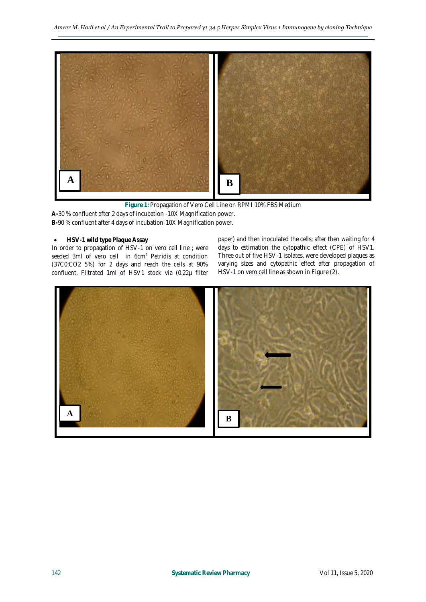

**Figure 1:** Propagation of Vero Cell Line on RPMI 10% FBS Medium **A-**30 % confluent after 2 days of incubation -10X Magnification power.

**B-**90 % confluent after 4 days of incubation-10X Magnification power.

# **HSV-1 wild type Plaque Assay**

In order to propagation of HSV-1 on vero cell line ; were seeded 3ml of vero cell in 6cm<sup>2</sup> Petridis at condition (37C0;CO2 5%) for 2 days and reach the cells at 90% confluent. Filtrated 1ml of HSV1 stock via (0.22µ filter

paper) and then inoculated the cells; after then waiting for 4 days to estimation the cytopathic effect (CPE) of HSV1. Three out of five HSV-1 isolates, were developed plaques as varying sizes and cytopathic effect after propagation of HSV-1 on vero cell line as shown in Figure (2).

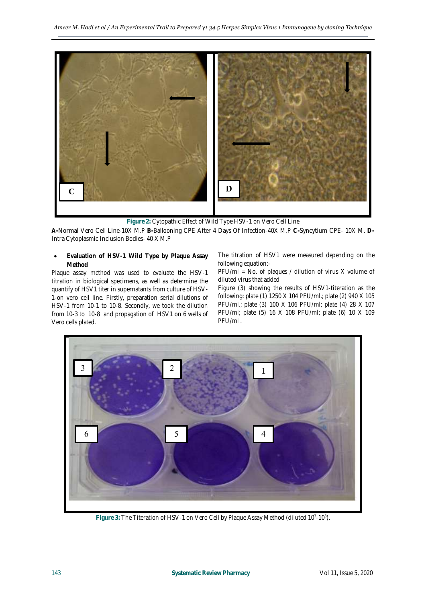

**Figure 2:** Cytopathic Effect of Wild Type HSV-1 on Vero Cell Line

**A-**Normal Vero Cell Line-10X M.P **B-**Ballooning CPE After 4 Days Of Infection-40X M.P **C-**Syncytium CPE- 10X M. **D-**Intra Cytoplasmic Inclusion Bodies- 40 X M.P

 **Evaluation of HSV-1 Wild Type by Plaque Assay Method**

Plaque assay method was used to evaluate the HSV-1 titration in biological specimens, as well as determine the quantify of HSV1 titer in supernatants from culture of HSV-1-on vero cell line. Firstly, preparation serial dilutions of HSV-1 from 10-1 to 10-8. Secondly, we took the dilution from 10-3 to 10-8 and propagation of HSV1 on 6 wells of Vero cells plated.

The titration of HSV1 were measured depending on the following equation:-

PFU/ml = No. of plaques / dilution of virus X volume of diluted virus that added

Figure (3) showing the results of HSV1-titeration as the following: plate (1) 1250 X 104 PFU/ml.; plate (2) 940 X 105 PFU/ml.; plate (3) 100 X 106 PFU/ml; plate (4) 28 X 107 PFU/ml; plate (5) 16 X 108 PFU/ml; plate (6) 10 X 109 PFU/ml .



Figure 3: The Titeration of HSV-1 on Vero Cell by Plaque Assay Method (diluted 10<sup>3</sup>-10<sup>8</sup>).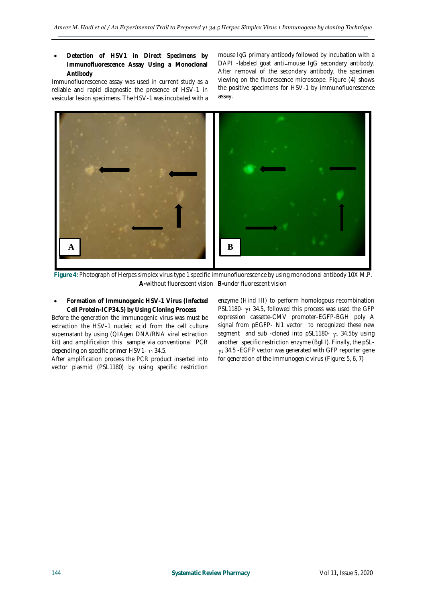**Detection of HSV1 in Direct Specimens by Immunofluorescence Assay Using a Monoclonal Antibody**

Immunofluorescence assay was used in current study as a reliable and rapid diagnostic the presence of HSV-1 in vesicular lesion specimens. The HSV-1 was incubated with a mouse IgG primary antibody followed by incubation with a DAPI -labeled goat anti-mouse IgG secondary antibody. After removal of the secondary antibody, the specimen viewing on the fluorescence microscope. Figure (4) shows the positive specimens for HSV-1 by immunofluorescence assay.



**Figure 4:** Photograph of Herpes simplex virus type 1 specific immunofluorescence by using monoclonal antibody 10X M.P. **A-**without fluorescent vision **B-**under fluorescent vision

 **Formation of Immunogenic HSV-1 Virus (Infected Cell Protein-ICP34.5) by Using Cloning Process**

Before the generation the immunogenic virus was must be extraction the HSV-1 nucleic acid from the cell culture supernatant by using (QIAgen DNA/RNA viral extraction kit) and amplification this sample via conventional PCR depending on specific primer HSV1- $x_1$  34.5.

After amplification process the PCR product inserted into vector plasmid (PSL1180) by using specific restriction

enzyme (*Hind III*) to perform homologous recombination PSL1180-  $y_1$  34.5, followed this process was used the GFP expression cassette-CMV promoter-EGFP-BGH poly A signal from pEGFP- N1 vector to recognized these new segment and sub -cloned into pSL1180-  $\gamma_1$  34.5by using another specific restriction enzyme (*BglII*). Finally, the pSL $y_1$  34.5 - EGFP vector was generated with GFP reporter gene for generation of the immunogenic virus (Figure: 5, 6, 7)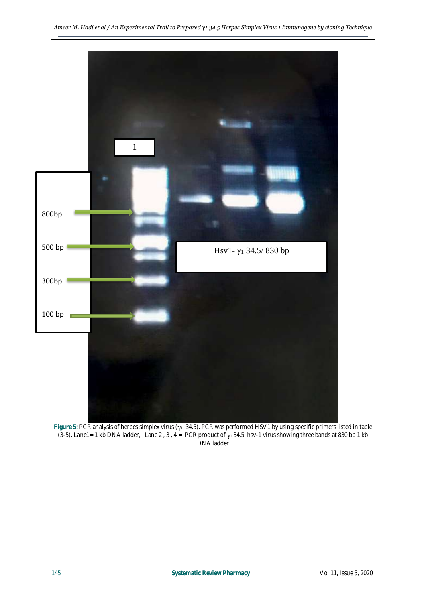

Figure 5: PCR analysis of herpes simplex virus ( $y_1$  34.5). PCR was performed HSV1 by using specific primers listed in table (3-5). Lane1= 1 kb DNA ladder, Lane 2, 3,  $4 = PCR$  product of  $y_1$  34.5 hsv-1 virus showing three bands at 830 bp 1 kb DNA ladder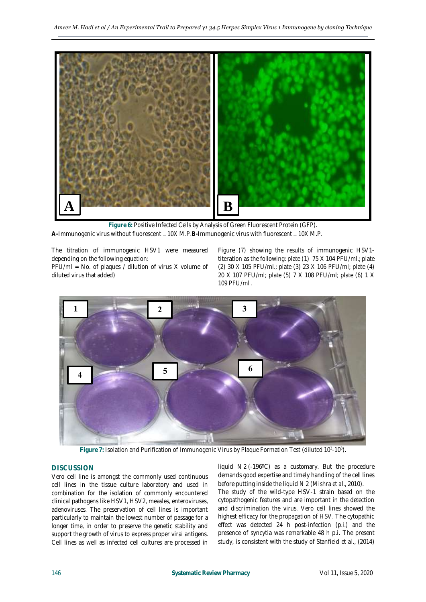

**Figure 6:** Positive Infected Cells by Analysis of Green Fluorescent Protein (GFP). A-Immunogenic virus without fluorescent - 10X M.P.B-Immunogenic virus with fluorescent - 10X M.P.

The titration of immunogenic HSV1 were measured depending on the following equation:

PFU/ml = No. of plaques / dilution of virus X volume of diluted virus that added)

Figure (7) showing the results of immunogenic HSV1 titeration as the following: plate (1) 75 X 104 PFU/ml.; plate (2) 30 X 105 PFU/ml.; plate (3) 23 X 106 PFU/ml; plate (4) 20 X 107 PFU/ml; plate (5) 7 X 108 PFU/ml; plate (6) 1 X 109 PFU/ml .



Figure 7: Isolation and Purification of Immunogenic Virus by Plaque Formation Test (diluted 10<sup>3</sup>-10<sup>8</sup>).

# **DISCUSSION**

Vero cell line is amongst the commonly used continuous cell lines in the tissue culture laboratory and used in combination for the isolation of commonly encountered clinical pathogens like HSV1, HSV2, measles, enteroviruses, adenoviruses. The preservation of cell lines is important particularly to maintain the lowest number of passage for a longer time, in order to preserve the genetic stability and support the growth of virus to express proper viral antigens. Cell lines as well as infected cell cultures are processed in

liquid N 2 (-196ºC) as a customary. But the procedure demands good expertise and timely handling of the cell lines before putting inside the liquid N 2 (Mishra *et al*., 2010). The study of the wild-type HSV-1 strain based on the cytopathogenic features and are important in the detection and discrimination the virus. Vero cell lines showed the highest efficacy for the propagation of HSV. The cytopathic effect was detected 24 h post-infection (p.i.) and the presence of syncytia was remarkable 48 h p.i. The present

study, is consistent with the study of Stanfield *et al*., (2014)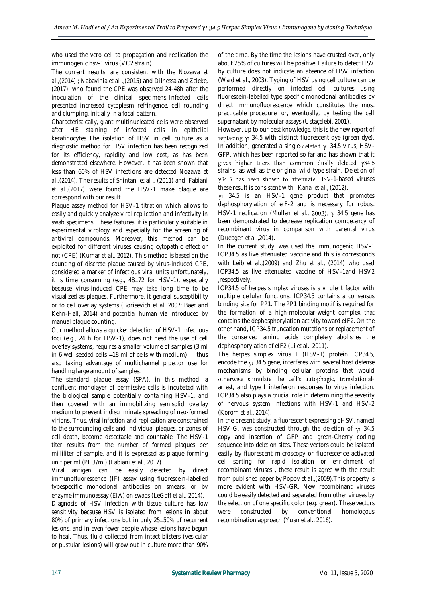who used the vero cell to propagation and replication the immunogenic hsv-1 virus (VC2 strain).

The current results, are consistent with the Nozawa *et al*.,(2014) ; Nabavinia *et al* .,(2015) and Dilnessa and Zeleke, (2017), who found the CPE was observed 24-48h after the inoculation of the clinical specimens. Infected cells presented increased cytoplasm refringence, cell rounding and clumping, initially in a focal pattern.

Characteristically, giant multinucleated cells were observed after HE staining of infected cells in epithelial keratinocytes. The isolation of HSV in cell culture as a diagnostic method for HSV infection has been recognized for its efficiency, rapidity and low cost, as has been demonstrated elsewhere. However, it has been shown that less than 60% of HSV infections are detected Nozawa *et al*.,(2014). The results of Shintani *et al* ., (2011) and Fabiani *et al*.,(2017) were found the HSV-1 make plaque are correspond with our result.

Plaque assay method for HSV-1 titration which allows to easily and quickly analyze viral replication and infectivity in swab specimens. These features, it is particularly suitable in experimental virology and especially for the screening of antiviral compounds. Moreover, this method can be exploited for different viruses causing cytopathic effect or not (CPE) (Kumar *et al*., 2012). This method is based on the counting of discrete plaque caused by virus-induced CPE, considered a marker of infectious viral units unfortunately, it is time consuming (e.g., 48-72 for HSV-1), especially because virus-induced CPE may take long time to be visualized as plaques. Furthermore, it general susceptibility or to cell overlay systems (Borisevich *et al*. 2007; Baer and Kehn-Hall, 2014) and potential human via introduced by manual plaque counting.

Our method allows a quicker detection of HSV-1 infectious foci (e.g., 24 h for HSV-1), does not need the use of cell overlay systems, requires a smaller volume of samples (3 ml in 6 well seeded cells =18 ml of cells with medium)  $-$  thus also taking advantage of multichannel pipettor use for handling large amount of samples.

The standard plaque assay (SPA), in this method, a confluent monolayer of permissive cells is incubated with the biological sample potentially containing HSV-1, and then covered with an immobilizing semisolid overlay medium to prevent indiscriminate spreading of neo-formed virions. Thus, viral infection and replication are constrained to the surrounding cells and individual plaques, or zones of cell death, become detectable and countable. The HSV-1 titer results from the number of formed plaques per milliliter of sample, and it is expressed as plaque forming unit per ml (PFU/ml) (Fabiani *et al*., 2017).

Viral antigen can be easily detected by direct immunofluorescence (IF) assay using fluorescein-labelled typespecific monoclonal antibodies on smears, or by enzyme immunoassay (EIA) on swabs (LeGoff *et al*., 2014).

Diagnosis of HSV infection with tissue culture has low sensitivity because HSV is isolated from lesions in about 80% of primary infections but in only 25-50% of recurrent lesions, and in even fewer people whose lesions have begun to heal. Thus, fluid collected from intact blisters (vesicular or pustular lesions) will grow out in culture more than 90%

of the time. By the time the lesions have crusted over, only about 25% of cultures will be positive. Failure to detect HSV by culture does not indicate an absence of HSV infection (Wald *et al*., 2003). Typing of HSV using cell culture can be performed directly on infected cell cultures using fluorescein-labelled type specific monoclonal antibodies by direct immunofluorescence which constitutes the most practicable procedure, or, eventually, by testing the cell supernatant by molecular assays (Ustaçelebi, 2001).

However, up to our best knowledge, this is the new report of replacing  $y_1$  34.5 with distinct fluorescent dye (green dye). In addition, generated a single-deleted  $y_1$  34.5 virus, HSV-GFP, which has been reported so far and has shown that it gives higher titers than common dually deleted y34.5 strains, as well as the original wild-type strain. Deletion of y34.5 has been shown to attenuate HSV-1-based viruses these result is consistent with Kanai *et al*., (2012).

 $y_1$  34.5 is an HSV-1 gene product that promotes dephosphorylation of eIF-2 and is necessary for robust HSV-1 replication (Mullen *et al.*, 2002). y 34.5 gene has been demonstrated to decrease replication competency of recombinant virus in comparison with parental virus (Duebgen *et al*.,2014).

In the current study, was used the immunogenic HSV-1 ICP34.5 as live attenuated vaccine and this is corresponds with Leib *et al*.,(2009) and Zhu *et al*., (2014) who used ICP34.5 as live attenuated vaccine of HSV-1and HSV2 ,respectively.

ICP34.5 of herpes simplex viruses is a virulent factor with multiple cellular functions. ICP34.5 contains a consensus binding site for PP1. The PP1 binding motif is required for the formation of a high-molecular-weight complex that contains the dephosphorylation activity toward eIF2. On the other hand, ICP34.5 truncation mutations or replacement of the conserved amino acids completely abolishes the dephosphorylation of eIF2 (Li *et al*., 2011).

The herpes simplex virus 1 (HSV-1) protein ICP34.5, encode the  $y_1$  34.5 gene, interferes with several host defense mechanisms by binding cellular proteins that would otherwise stimulate the cell's autophagic, translationalarrest, and type I interferon responses to virus infection. ICP34.5 also plays a crucial role in determining the severity of nervous system infections with HSV-1 and HSV-2 (Korom *et al*., 2014).

In the present study, a fluorescent expressing oHSV, named HSV-G, was constructed through the deletion of  $\gamma_1$  34.5 copy and insertion of GFP and green-Cherry coding sequence into deletion sites. These vectors could be isolated easily by fluorescent microscopy or fluorescence activated cell sorting for rapid isolation or enrichment of recombinant viruses , these result is agree with the result from published paper by Popov *et al*.,(2009).This property is more evident with HSV-GR. New recombinant viruses could be easily detected and separated from other viruses by the selection of one specific color (e.g. green). These vectors were constructed by conventional homologous recombination approach (Yuan *et al*., 2016).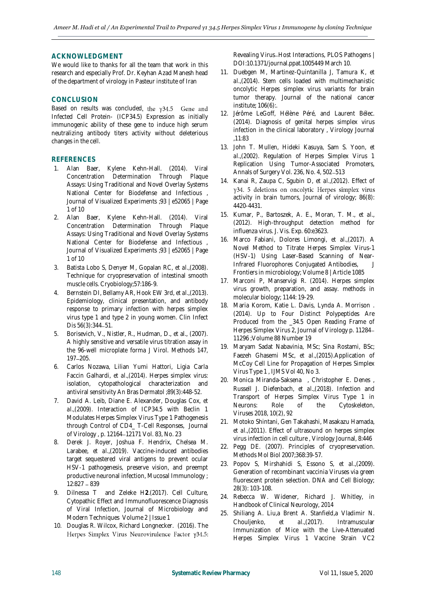### **ACKNOWLEDGMENT**

We would like to thanks for all the team that work in this research and especially Prof. Dr. Keyhan Azad Manesh head of the department of virology in Pasteur institute of Iran

### **CONCLUSION**

Based on results was concluded, the  $y34.5$  Gene and Infected Cell Protein- (ICP34.5) Expression as initially immunogenic ability of these gene to induce high serum neutralizing antibody titers activity without deleterious changes in the cell.

## **REFERENCES**

- 1. Alan Baer, Kylene Kehn-Hall. (2014). Viral Concentration Determination Through Plaque Assays: Using Traditional and Novel Overlay Systems National Center for Biodefense and Infectious , Journal of Visualized Experiments ;93 | e52065 | Page 1 of 10
- 2. Alan Baer, Kylene Kehn-Hall. (2014). Viral Concentration Determination Through Plaque Assays: Using Traditional and Novel Overlay Systems National Center for Biodefense and Infectious , Journal of Visualized Experiments ;93 | e52065 | Page 1 of 10
- 3. Batista Lobo S, Denyer M, Gopalan RC, *et al*.,(2008). Technique for cryopreservation of intestinal smooth muscle cells. Cryobiology;57:186-9.
- 4. Bernstein DI, Bellamy AR, Hook EW 3rd, *et al*.,(2013). Epidemiology, clinical presentation, and antibody response to primary infection with herpes simplex virus type 1 and type 2 in young women. Clin Infect  $Dis 56(3):344-51.$
- 5. Borisevich, V., Nistler, R., Hudman, D., et al., (2007). A highly sensitive and versatile virus titration assay in the 96-well microplate forma J Virol. Methods 147, 197-205.
- 6. Carlos Nozawa, Lilian Yumi Hattori, Ligia Carla Faccin Galhardi, *et al*.,(2014). Herpes simplex virus: isolation, cytopathological characterization and antiviral sensitivity An Bras Dermatol ;89(3):448-52.
- 7. David A. Leib, Diane E. Alexander, Douglas Cox, *et al*.,(2009). Interaction of ICP34.5 with Beclin 1 Modulates Herpes Simplex Virus Type 1 Pathogenesis through Control of CD4\_ T-Cell Responses, Journal of Virology , p. 12164 12171 Vol. 83, No. 23
- 8. Derek J. Royer, Joshua F. Hendrix, Chelsea M. Larabee, *et al*.,(2019). Vaccine-induced antibodies target sequestered viral antigens to prevent ocular HSV-1 pathogenesis, preserve vision, and preempt productive neuronal infection, Mucosal Immunology ;  $12:827 - 839$
- 9. Dilnessa Tand Zeleke H**2**.(2017). Cell Culture, Cytopathic Effect and Immunofluorescence Diagnosis of Viral Infection, Journal of Microbiology and Modern Techniques Volume 2 | Issue 1
- 10. Douglas R. Wilcox, Richard Longnecker. (2016). The Herpes Simplex Virus Neurovirulence Factor y34.5:

Revealing Virus-Host Interactions, PLOS Pathogens | DOI:10.1371/journal.ppat.1005449 March 10.

- 11. Duebgen M, Martinez-Quintanilla J, Tamura K, *et al*.,(2014). Stem cells loaded with multimechanistic oncolytic Herpes simplex virus variants for brain tumor therapy. Journal of the national cancer institute; 106(6):.
- 12. Jérôme LeGoff, Hélène Péré, and Laurent Bélec. (2014). Diagnosis of genital herpes simplex virus infection in the clinical laboratory , Virology Journal ,11:83
- 13. John T. Mullen, Hideki Kasuya, Sam S. Yoon, *et al*.,(2002). Regulation of Herpes Simplex Virus 1 Replication Using Tumor-Associated Promoters, Annals of Surgery Vol. 236, No. 4, 502-513
- 14. Kanai R, Zaupa C, Sgubin D, *et al*.,(2012). Effect of y34. 5 deletions on oncolytic Herpes simplex virus activity in brain tumors, Journal of virology; 86(8): 4420-4431.
- 15. Kumar, P., Bartoszek, A. E., Moran, T. M., *et al*., (2012). High-throughput detection method for influenza virus. J. Vis. Exp. 60:e3623.
- 16. Marco Fabiani, Dolores Limongi, *et al*.,(2017). A Novel Method to Titrate Herpes Simplex Virus-1 (HSV-1) Using Laser-Based Scanning of Near-Infrared Fluorophores Conjugated Antibodies, J Frontiers in microbiology; Volume 8 | Article 1085
- 17. Marconi P, Manservigi R. (2014). Herpes simplex virus growth, preparation, and assay. methods in molecular biology; 1144: 19-29.
- 18. Maria Korom, Katie L. Davis, Lynda A. Morrison . (2014). Up to Four Distinct Polypeptides Are Produced from the \_34.5 Open Reading Frame of Herpes Simplex Virus 2, Journal of Virology p. 11284 11296 ;Volume 88 Number 19
- 19. Maryam Sadat Nabavinia, MSc; Sina Rostami, BSc; Faezeh Ghasemi MSc, *et al*.,(2015).Application of McCoy Cell Line for Propagation of Herpes Simplex Virus Type 1 , IJMS Vol 40, No 3.
- 20. [Monica Miranda-Saksena](https://sciprofiles.com/profile/379937) , [Christopher E. Denes](https://sciprofiles.com/profile/362496) , [Russell J. Diefenbach,](https://sciprofiles.com/profile/26483) *et al*.,(2018). Infection and Transport of Herpes Simplex Virus Type 1 in Neurons: Role of the Cytoskeleton, Viruses 2018, 10(2), 92
- 21. Motoko Shintani, Gen Takahashi, Masakazu Hamada, *et al*.,(2011). Effect of ultrasound on herpes simplex virus infection in cell culture , Virology Journal, 8:446
- 22. Pegg DE. (2007). Principles of cryopreservation. Methods Mol Biol 2007;368:39-57.
- 23. Popov S, Mirshahidi S, Essono S, *et al*.,(2009). Generation of recombinant vaccinia Viruses via green fluorescent protein selection. DNA and Cell Biology; 28(3): 103-108.
- 24. Rebecca W. Widener, Richard J. Whitley, in Handbook of Clinical Neurology, 2014
- 25. Shiliang A. Liu,a Brent A. Stanfield,a Vladimir N. Chouljenko, *et al*.,(2017). Intramuscular Immunization of Mice with the Live-Attenuated Herpes Simplex Virus 1 Vaccine Strain VC2